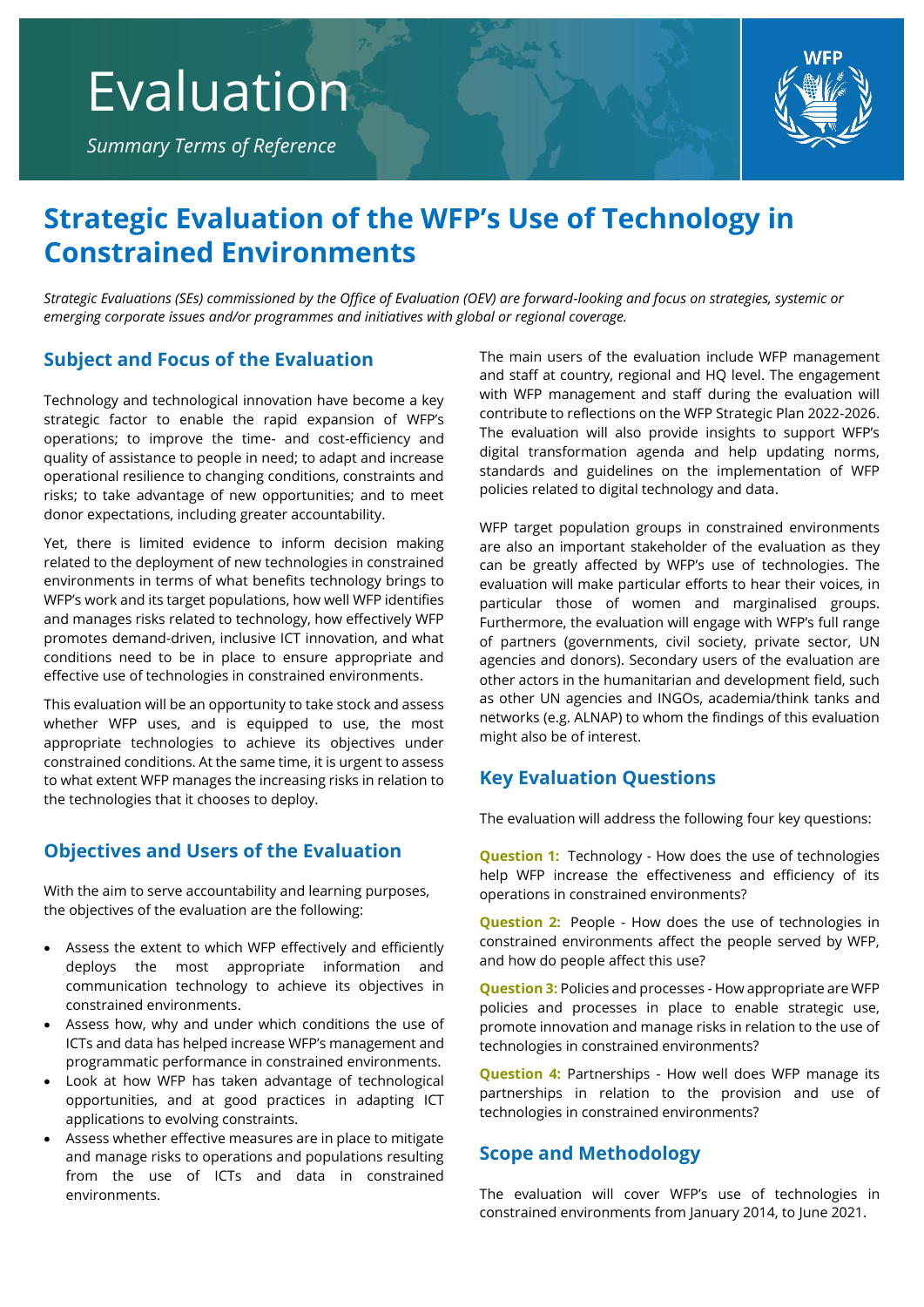*Summary Terms of Reference*



# **Strategic Evaluation of the WFP's Use of Technology in Constrained Environments**

*Strategic Evaluations (SEs) commissioned by the Office of Evaluation (OEV) are forward-looking and focus on strategies, systemic or emerging corporate issues and/or programmes and initiatives with global or regional coverage.*

## **Subject and Focus of the Evaluation**

Technology and technological innovation have become a key strategic factor to enable the rapid expansion of WFP's operations; to improve the time- and cost-efficiency and quality of assistance to people in need; to adapt and increase operational resilience to changing conditions, constraints and risks; to take advantage of new opportunities; and to meet donor expectations, including greater accountability.

Yet, there is limited evidence to inform decision making related to the deployment of new technologies in constrained environments in terms of what benefits technology brings to WFP's work and its target populations, how well WFP identifies and manages risks related to technology, how effectively WFP promotes demand-driven, inclusive ICT innovation, and what conditions need to be in place to ensure appropriate and effective use of technologies in constrained environments.

This evaluation will be an opportunity to take stock and assess whether WFP uses, and is equipped to use, the most appropriate technologies to achieve its objectives under constrained conditions. At the same time, it is urgent to assess to what extent WFP manages the increasing risks in relation to the technologies that it chooses to deploy.

## **Objectives and Users of the Evaluation**

With the aim to serve accountability and learning purposes, the objectives of the evaluation are the following:

- Assess the extent to which WFP effectively and efficiently deploys the most appropriate information and communication technology to achieve its objectives in constrained environments.
- Assess how, why and under which conditions the use of ICTs and data has helped increase WFP's management and programmatic performance in constrained environments.
- Look at how WFP has taken advantage of technological opportunities, and at good practices in adapting ICT applications to evolving constraints.
- Assess whether effective measures are in place to mitigate and manage risks to operations and populations resulting from the use of ICTs and data in constrained environments.

The main users of the evaluation include WFP management and staff at country, regional and HQ level. The engagement with WFP management and staff during the evaluation will contribute to reflections on the WFP Strategic Plan 2022-2026. The evaluation will also provide insights to support WFP's digital transformation agenda and help updating norms, standards and guidelines on the implementation of WFP policies related to digital technology and data.

WFP target population groups in constrained environments are also an important stakeholder of the evaluation as they can be greatly affected by WFP's use of technologies. The evaluation will make particular efforts to hear their voices, in particular those of women and marginalised groups. Furthermore, the evaluation will engage with WFP's full range of partners (governments, civil society, private sector, UN agencies and donors). Secondary users of the evaluation are other actors in the humanitarian and development field, such as other UN agencies and INGOs, academia/think tanks and networks (e.g. ALNAP) to whom the findings of this evaluation might also be of interest.

# **Key Evaluation Questions**

The evaluation will address the following four key questions:

**Question 1:** Technology - How does the use of technologies help WFP increase the effectiveness and efficiency of its operations in constrained environments?

**Question 2:** People - How does the use of technologies in constrained environments affect the people served by WFP, and how do people affect this use?

**Question 3:** Policies and processes - How appropriate are WFP policies and processes in place to enable strategic use, promote innovation and manage risks in relation to the use of technologies in constrained environments?

**Question 4:** Partnerships - How well does WFP manage its partnerships in relation to the provision and use of technologies in constrained environments?

# **Scope and Methodology**

The evaluation will cover WFP's use of technologies in constrained environments from January 2014, to June 2021.